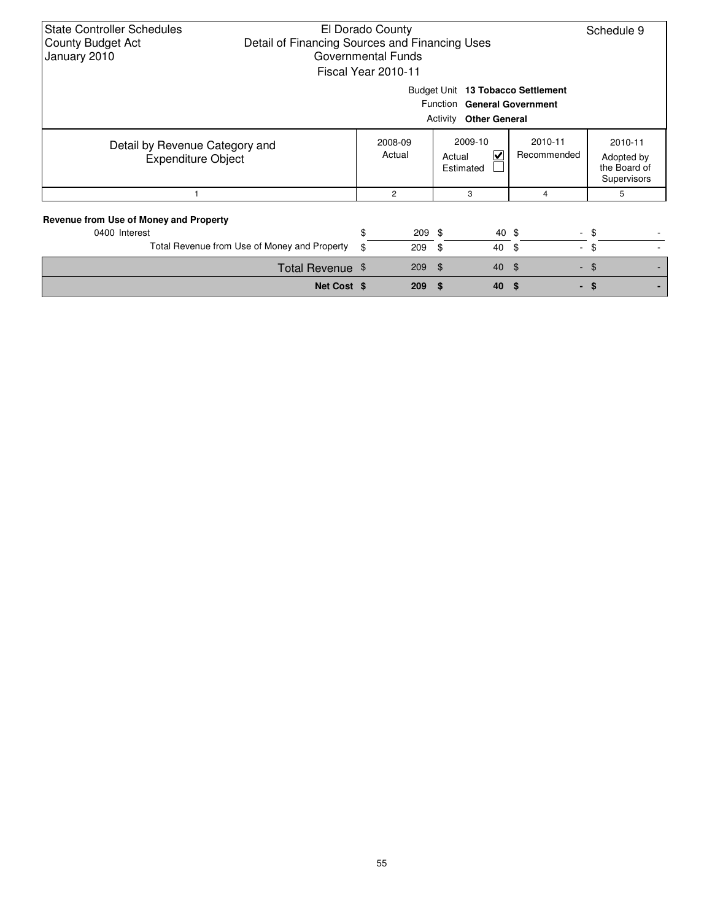| <b>State Controller Schedules</b><br><b>County Budget Act</b><br>January 2010                     | El Dorado County<br>Schedule 9<br>Detail of Financing Sources and Financing Uses<br>Governmental Funds<br>Fiscal Year 2010-11 |                   |  |                                     |                        |                                                      |  |
|---------------------------------------------------------------------------------------------------|-------------------------------------------------------------------------------------------------------------------------------|-------------------|--|-------------------------------------|------------------------|------------------------------------------------------|--|
| Budget Unit 13 Tobacco Settlement<br>Function General Government<br><b>Activity Other General</b> |                                                                                                                               |                   |  |                                     |                        |                                                      |  |
| Detail by Revenue Category and<br><b>Expenditure Object</b>                                       |                                                                                                                               | 2008-09<br>Actual |  | 2009-10<br>V<br>Actual<br>Estimated | 2010-11<br>Recommended | 2010-11<br>Adopted by<br>the Board of<br>Supervisors |  |
|                                                                                                   |                                                                                                                               | $\overline{2}$    |  | 3                                   | 4                      | 5                                                    |  |
| Revenue from Use of Money and Property<br>0400 Interest                                           | \$                                                                                                                            | $209$ \$          |  | 40 \$                               |                        | - \$                                                 |  |
| Total Revenue from Use of Money and Property                                                      | \$                                                                                                                            | 209               |  | -\$<br>40                           | -\$                    | $-$ \$                                               |  |
| Total Revenue \$                                                                                  |                                                                                                                               | 209               |  | \$<br>40                            | $\sqrt{3}$             | $-$ \$                                               |  |
| Net Cost \$                                                                                       |                                                                                                                               | 209               |  | 40<br>\$.                           | \$                     | - \$                                                 |  |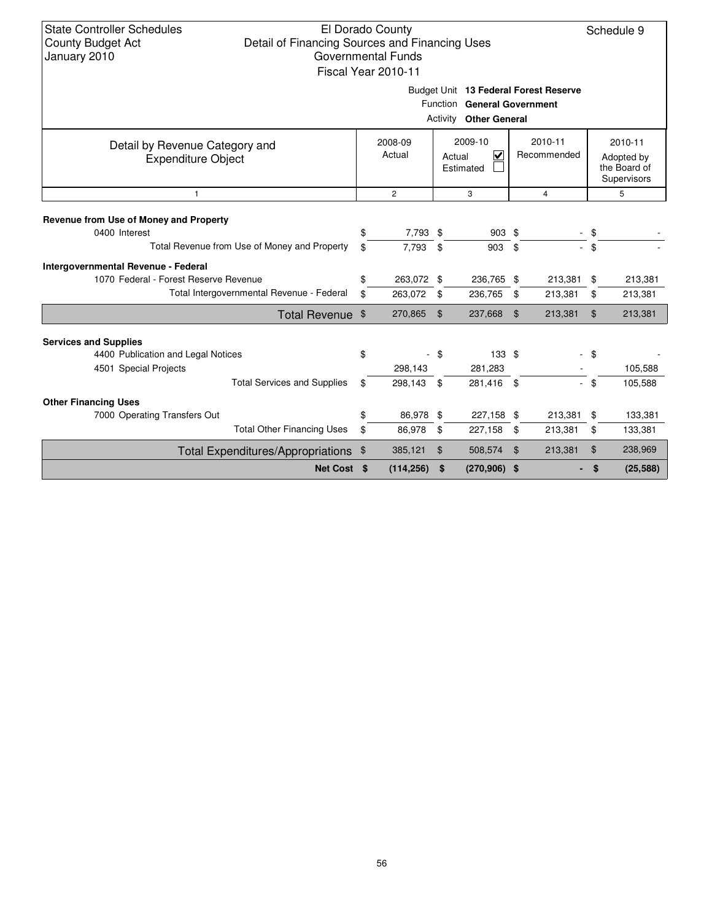### El Dorado County Detail of Financing Sources and Financing Uses Governmental Funds Fiscal Year 2010-11

Schedule 9

Budget Unit **13 Federal Forest Reserve**

|                                                                                                         | Function<br>Activity    | <b>General Government</b><br><b>Other General</b> |                                     |                |                        |          |                                                      |
|---------------------------------------------------------------------------------------------------------|-------------------------|---------------------------------------------------|-------------------------------------|----------------|------------------------|----------|------------------------------------------------------|
| Detail by Revenue Category and<br><b>Expenditure Object</b>                                             | 2008-09<br>Actual       |                                                   | 2009-10<br>⊻<br>Actual<br>Estimated |                | 2010-11<br>Recommended |          | 2010-11<br>Adopted by<br>the Board of<br>Supervisors |
| $\mathbf{1}$                                                                                            | $\overline{2}$          |                                                   | 3                                   |                | 4                      |          | 5                                                    |
| Revenue from Use of Money and Property<br>0400 Interest<br>Total Revenue from Use of Money and Property | \$<br>7,793 \$<br>7,793 | \$                                                | 903 \$<br>903                       | \$             |                        | \$<br>\$ |                                                      |
| Intergovernmental Revenue - Federal<br>1070 Federal - Forest Reserve Revenue                            | \$<br>263,072 \$        |                                                   | 236,765 \$                          |                | 213,381                | \$       | 213,381                                              |
| Total Intergovernmental Revenue - Federal                                                               | \$<br>263,072           | - \$                                              | 236,765                             | \$             | 213,381                | \$       | 213,381                                              |
| <b>Total Revenue</b>                                                                                    | \$<br>270,865           | $\mathfrak{L}$                                    | 237,668                             | $\mathfrak{L}$ | 213,381                | \$       | 213,381                                              |
| <b>Services and Supplies</b>                                                                            |                         |                                                   |                                     |                |                        |          |                                                      |
| 4400 Publication and Legal Notices<br>4501 Special Projects                                             | \$<br>298,143           | - \$                                              | 133S<br>281,283                     |                |                        | - \$     | 105,588                                              |
| <b>Total Services and Supplies</b>                                                                      | \$<br>298,143           | -\$                                               | 281,416 \$                          |                |                        | \$       | 105,588                                              |
| <b>Other Financing Uses</b>                                                                             |                         |                                                   |                                     |                |                        |          |                                                      |
| 7000 Operating Transfers Out                                                                            | \$<br>86,978 \$         |                                                   | 227,158 \$                          |                | 213,381 \$             |          | 133,381                                              |
| <b>Total Other Financing Uses</b>                                                                       | \$<br>86,978            | \$                                                | 227,158                             | \$             | 213,381                | \$       | 133,381                                              |
| Total Expenditures/Appropriations                                                                       | \$<br>385,121           | \$                                                | 508,574                             | $\mathfrak{L}$ | 213,381                | \$       | 238,969                                              |
| <b>Net Cost</b>                                                                                         | \$<br>(114, 256)        | \$                                                | $(270,906)$ \$                      |                |                        | \$       | (25, 588)                                            |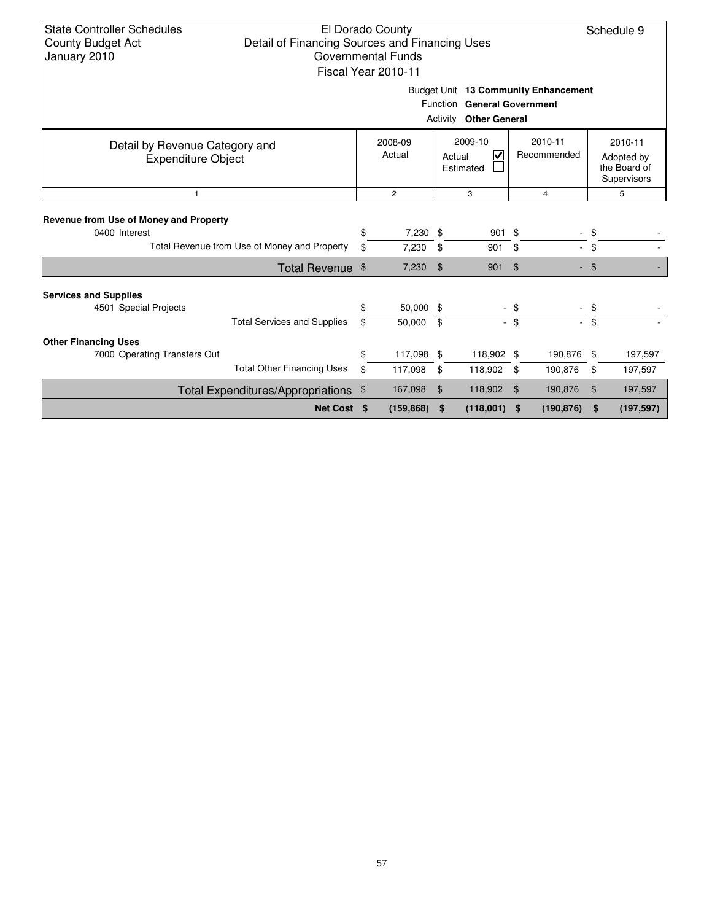| <b>State Controller Schedules</b><br>El Dorado County<br>Schedule 9<br>Detail of Financing Sources and Financing Uses<br><b>County Budget Act</b><br>Governmental Funds<br>January 2010<br>Fiscal Year 2010-11 |                                                             |          |                     |     |                                     |                |                        |          |                                                      |
|----------------------------------------------------------------------------------------------------------------------------------------------------------------------------------------------------------------|-------------------------------------------------------------|----------|---------------------|-----|-------------------------------------|----------------|------------------------|----------|------------------------------------------------------|
| Budget Unit 13 Community Enhancement<br>Function General Government<br>Activity<br><b>Other General</b>                                                                                                        |                                                             |          |                     |     |                                     |                |                        |          |                                                      |
|                                                                                                                                                                                                                | Detail by Revenue Category and<br><b>Expenditure Object</b> |          | 2008-09<br>Actual   |     | 2009-10<br>⊽<br>Actual<br>Estimated |                | 2010-11<br>Recommended |          | 2010-11<br>Adopted by<br>the Board of<br>Supervisors |
| $\mathbf{1}$                                                                                                                                                                                                   |                                                             |          | $\overline{2}$      |     | 3                                   |                | $\overline{4}$         |          | 5                                                    |
| Revenue from Use of Money and Property<br>0400 Interest                                                                                                                                                        | Total Revenue from Use of Money and Property                | \$<br>\$ | 7,230 \$<br>7,230   | \$  | 901<br>901                          | \$<br>\$       | a.                     | \$<br>\$ |                                                      |
|                                                                                                                                                                                                                | Total Revenue \$                                            |          | 7,230               | \$  | 901                                 | $\mathfrak{L}$ |                        | $-$ \$   |                                                      |
| <b>Services and Supplies</b><br>4501 Special Projects                                                                                                                                                          | <b>Total Services and Supplies</b>                          | \$<br>\$ | 50,000 \$<br>50,000 | -\$ |                                     | $-$ \$<br>- \$ |                        | \$<br>\$ |                                                      |
| <b>Other Financing Uses</b>                                                                                                                                                                                    |                                                             |          |                     |     |                                     |                |                        |          |                                                      |
| 7000 Operating Transfers Out                                                                                                                                                                                   |                                                             | \$       | 117,098 \$          |     | 118,902 \$                          |                | 190,876 \$             |          | 197,597                                              |
|                                                                                                                                                                                                                | <b>Total Other Financing Uses</b>                           | \$       | 117,098             | \$  | 118,902                             | \$             | 190,876                | \$       | 197,597                                              |
|                                                                                                                                                                                                                | Total Expenditures/Appropriations \$                        |          | 167,098             | \$  | 118,902                             | \$             | 190,876                | \$       | 197,597                                              |
|                                                                                                                                                                                                                | Net Cost \$                                                 |          | (159, 868)          | \$  | (118,001)                           | \$             | (190, 876)             | \$       | (197, 597)                                           |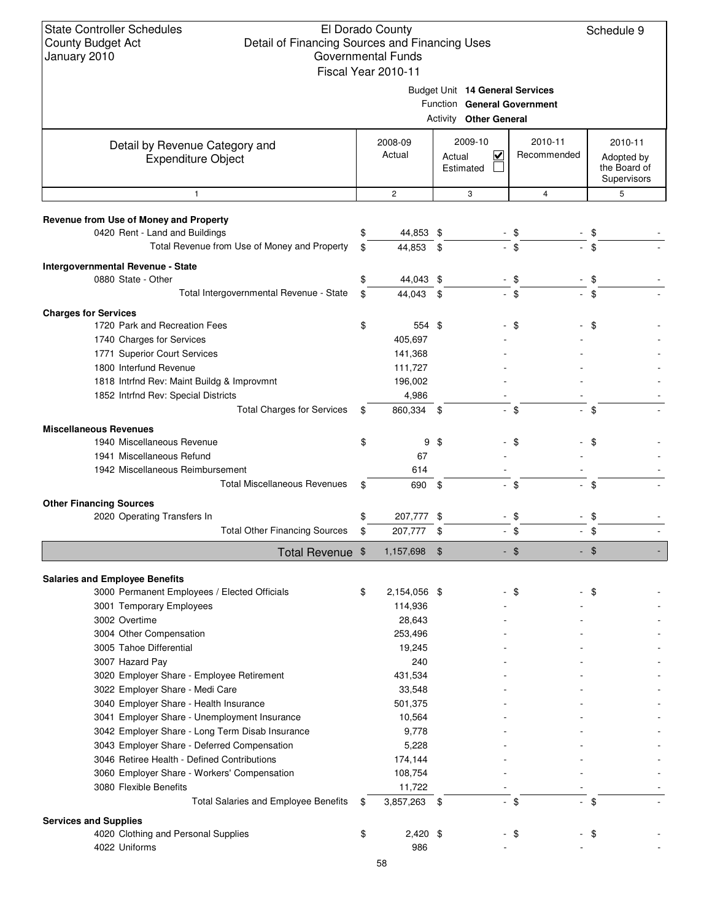### El Dorado County Detail of Financing Sources and Financing Uses Governmental Funds Fiscal Year 20

Schedule 9

| 010-11 |  |  |
|--------|--|--|

Budget Unit **14 General Services**

|  |  | <b>Function General Government</b> |
|--|--|------------------------------------|
|--|--|------------------------------------|

|                                                                                        |                    | Function General Government<br><b>Activity Other General</b> |                        |                                                      |
|----------------------------------------------------------------------------------------|--------------------|--------------------------------------------------------------|------------------------|------------------------------------------------------|
|                                                                                        |                    |                                                              |                        |                                                      |
| Detail by Revenue Category and<br><b>Expenditure Object</b>                            | 2008-09<br>Actual  | 2009-10<br>$\overline{\mathsf{v}}$<br>Actual<br>Estimated    | 2010-11<br>Recommended | 2010-11<br>Adopted by<br>the Board of<br>Supervisors |
| $\mathbf{1}$                                                                           | $\mathbf{2}$       | 3                                                            | 4                      | 5                                                    |
| Revenue from Use of Money and Property                                                 |                    |                                                              |                        |                                                      |
| 0420 Rent - Land and Buildings                                                         | \$<br>44,853 \$    |                                                              | - \$                   | \$                                                   |
| Total Revenue from Use of Money and Property                                           | \$<br>44,853       | \$                                                           | \$                     | \$                                                   |
| Intergovernmental Revenue - State                                                      |                    |                                                              |                        |                                                      |
| 0880 State - Other                                                                     | \$<br>44,043 \$    |                                                              | \$                     | \$                                                   |
| Total Intergovernmental Revenue - State                                                | \$<br>44,043 \$    |                                                              | $-$ \$                 | \$                                                   |
| <b>Charges for Services</b>                                                            |                    |                                                              |                        |                                                      |
| 1720 Park and Recreation Fees                                                          | \$<br>554 \$       |                                                              | \$                     | \$                                                   |
| 1740 Charges for Services                                                              | 405,697            |                                                              |                        |                                                      |
| 1771 Superior Court Services                                                           | 141,368            |                                                              |                        |                                                      |
| 1800 Interfund Revenue                                                                 | 111,727            |                                                              |                        |                                                      |
| 1818 Intrfnd Rev: Maint Buildg & Improvmnt                                             | 196,002            |                                                              |                        |                                                      |
| 1852 Intrfnd Rev: Special Districts                                                    | 4,986              |                                                              |                        |                                                      |
| <b>Total Charges for Services</b>                                                      | \$<br>860,334 \$   |                                                              | $-$ \$                 | $-$ \$                                               |
| <b>Miscellaneous Revenues</b>                                                          |                    |                                                              |                        |                                                      |
| 1940 Miscellaneous Revenue                                                             | \$                 | $9 \text{ } $$                                               | \$                     | \$                                                   |
| 1941 Miscellaneous Refund                                                              | 67                 |                                                              |                        |                                                      |
| 1942 Miscellaneous Reimbursement                                                       | 614                |                                                              |                        |                                                      |
| <b>Total Miscellaneous Revenues</b>                                                    | \$<br>690          | - \$                                                         | \$                     | \$                                                   |
| <b>Other Financing Sources</b>                                                         |                    |                                                              |                        |                                                      |
| 2020 Operating Transfers In                                                            | \$<br>207,777 \$   | $\overline{\phantom{a}}$                                     | \$                     | \$                                                   |
| <b>Total Other Financing Sources</b>                                                   | \$<br>207,777      | \$                                                           | $-$ \$                 | $-$ \$                                               |
| Total Revenue \$                                                                       | 1,157,698          | $\mathfrak{F}$                                               | $-$ \$                 | - \$                                                 |
|                                                                                        |                    |                                                              |                        |                                                      |
| <b>Salaries and Employee Benefits</b><br>3000 Permanent Employees / Elected Officials  |                    |                                                              |                        |                                                      |
|                                                                                        |                    |                                                              |                        |                                                      |
|                                                                                        | \$<br>2,154,056 \$ |                                                              | \$                     | \$                                                   |
| 3001 Temporary Employees                                                               | 114,936            |                                                              |                        |                                                      |
| 3002 Overtime                                                                          | 28,643             |                                                              |                        |                                                      |
| 3004 Other Compensation                                                                | 253,496            |                                                              |                        |                                                      |
| 3005 Tahoe Differential                                                                | 19,245             |                                                              |                        |                                                      |
| 3007 Hazard Pay                                                                        | 240                |                                                              |                        |                                                      |
| 3020 Employer Share - Employee Retirement                                              | 431,534<br>33,548  |                                                              |                        |                                                      |
| 3022 Employer Share - Medi Care                                                        | 501,375            |                                                              |                        |                                                      |
| 3040 Employer Share - Health Insurance<br>3041 Employer Share - Unemployment Insurance | 10,564             |                                                              |                        |                                                      |
| 3042 Employer Share - Long Term Disab Insurance                                        | 9,778              |                                                              |                        |                                                      |
| 3043 Employer Share - Deferred Compensation                                            | 5,228              |                                                              |                        |                                                      |
| 3046 Retiree Health - Defined Contributions                                            | 174,144            |                                                              |                        |                                                      |
| 3060 Employer Share - Workers' Compensation                                            | 108,754            |                                                              |                        |                                                      |
| 3080 Flexible Benefits                                                                 | 11,722             |                                                              |                        |                                                      |
| <b>Total Salaries and Employee Benefits</b>                                            | \$<br>3,857,263 \$ |                                                              | - \$                   | - \$                                                 |
|                                                                                        |                    |                                                              |                        |                                                      |
| <b>Services and Supplies</b><br>4020 Clothing and Personal Supplies                    | \$<br>$2,420$ \$   |                                                              | \$                     | \$                                                   |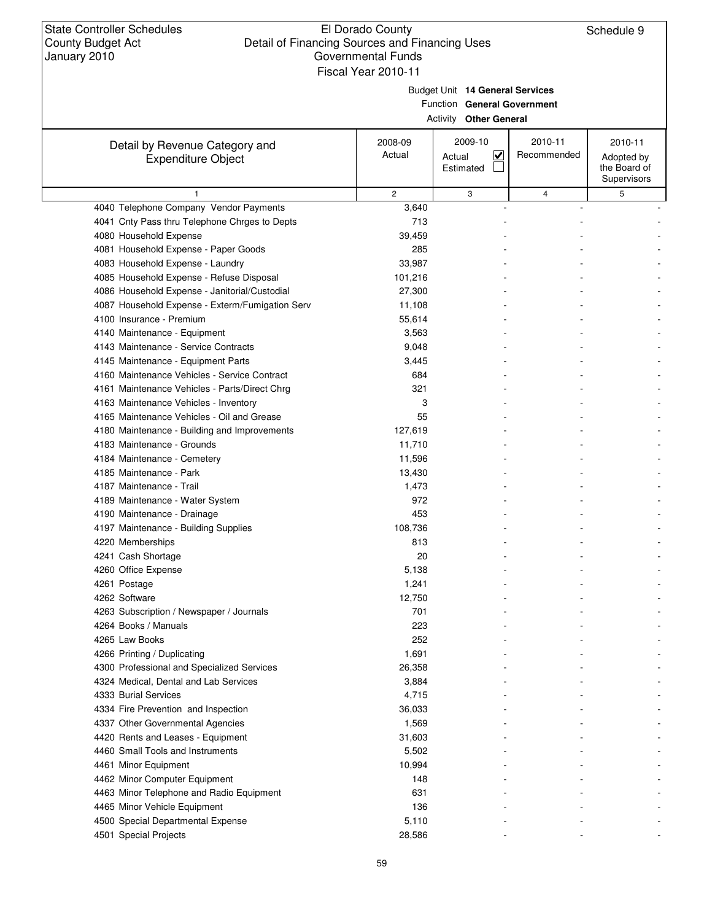$\overline{\phantom{a}}$ 

# El Dorado County Detail of Financing Sources and Financing Uses Governmental Funds

Schedule 9

|                                                             | Fiscal Year 2010-11 |                                                                                                 |                        |                                                      |  |  |  |  |  |  |
|-------------------------------------------------------------|---------------------|-------------------------------------------------------------------------------------------------|------------------------|------------------------------------------------------|--|--|--|--|--|--|
|                                                             |                     | Budget Unit 14 General Services<br>Function General Government<br><b>Activity Other General</b> |                        |                                                      |  |  |  |  |  |  |
| Detail by Revenue Category and<br><b>Expenditure Object</b> | 2008-09<br>Actual   | 2009-10<br>$\overline{\mathbf{v}}$<br>Actual<br>Estimated                                       | 2010-11<br>Recommended | 2010-11<br>Adopted by<br>the Board of<br>Supervisors |  |  |  |  |  |  |
| $\mathbf{1}$                                                | $\mathbf{2}$        | 3                                                                                               | 4                      | 5                                                    |  |  |  |  |  |  |
| 4040 Telephone Company Vendor Payments                      | 3,640               |                                                                                                 |                        |                                                      |  |  |  |  |  |  |
| 4041 Cnty Pass thru Telephone Chrges to Depts               | 713                 |                                                                                                 |                        |                                                      |  |  |  |  |  |  |
| 4080 Household Expense                                      | 39,459              |                                                                                                 |                        |                                                      |  |  |  |  |  |  |
| 4081 Household Expense - Paper Goods                        | 285                 |                                                                                                 |                        |                                                      |  |  |  |  |  |  |
| 4083 Household Expense - Laundry                            | 33,987              |                                                                                                 |                        |                                                      |  |  |  |  |  |  |
| 4085 Household Expense - Refuse Disposal                    | 101,216             |                                                                                                 |                        |                                                      |  |  |  |  |  |  |
| 4086 Household Expense - Janitorial/Custodial               | 27,300              |                                                                                                 |                        |                                                      |  |  |  |  |  |  |
| 4087 Household Expense - Exterm/Fumigation Serv             | 11,108              |                                                                                                 |                        |                                                      |  |  |  |  |  |  |
| 4100 Insurance - Premium                                    | 55,614              |                                                                                                 |                        |                                                      |  |  |  |  |  |  |
| 4140 Maintenance - Equipment                                | 3,563               |                                                                                                 |                        |                                                      |  |  |  |  |  |  |
| 4143 Maintenance - Service Contracts                        | 9,048               |                                                                                                 |                        |                                                      |  |  |  |  |  |  |
| 4145 Maintenance - Equipment Parts                          | 3,445               |                                                                                                 |                        |                                                      |  |  |  |  |  |  |
| 4160 Maintenance Vehicles - Service Contract                | 684                 |                                                                                                 |                        |                                                      |  |  |  |  |  |  |
| 4161 Maintenance Vehicles - Parts/Direct Chrg               | 321                 |                                                                                                 |                        |                                                      |  |  |  |  |  |  |
| 4163 Maintenance Vehicles - Inventory                       | 3                   |                                                                                                 |                        |                                                      |  |  |  |  |  |  |
| 4165 Maintenance Vehicles - Oil and Grease                  | 55                  |                                                                                                 |                        |                                                      |  |  |  |  |  |  |
| 4180 Maintenance - Building and Improvements                | 127,619             |                                                                                                 |                        |                                                      |  |  |  |  |  |  |
| 4183 Maintenance - Grounds                                  | 11,710              |                                                                                                 |                        |                                                      |  |  |  |  |  |  |
| 4184 Maintenance - Cemetery                                 | 11,596              |                                                                                                 |                        |                                                      |  |  |  |  |  |  |
| 4185 Maintenance - Park                                     | 13,430              |                                                                                                 |                        |                                                      |  |  |  |  |  |  |
| 4187 Maintenance - Trail                                    | 1,473               |                                                                                                 |                        |                                                      |  |  |  |  |  |  |
| 4189 Maintenance - Water System                             | 972                 |                                                                                                 |                        |                                                      |  |  |  |  |  |  |
| 4190 Maintenance - Drainage                                 | 453                 |                                                                                                 |                        |                                                      |  |  |  |  |  |  |
| 4197 Maintenance - Building Supplies                        | 108,736             |                                                                                                 |                        |                                                      |  |  |  |  |  |  |
| 4220 Memberships                                            | 813                 |                                                                                                 |                        |                                                      |  |  |  |  |  |  |
| 4241 Cash Shortage                                          | 20                  |                                                                                                 |                        |                                                      |  |  |  |  |  |  |
| 4260 Office Expense                                         | 5,138               |                                                                                                 |                        |                                                      |  |  |  |  |  |  |
| 4261 Postage                                                | 1,241               |                                                                                                 |                        |                                                      |  |  |  |  |  |  |
| 4262 Software                                               | 12,750              |                                                                                                 |                        |                                                      |  |  |  |  |  |  |
| 4263 Subscription / Newspaper / Journals                    | 701                 |                                                                                                 |                        |                                                      |  |  |  |  |  |  |
| 4264 Books / Manuals                                        | 223                 |                                                                                                 |                        |                                                      |  |  |  |  |  |  |
| 4265 Law Books                                              | 252                 |                                                                                                 |                        |                                                      |  |  |  |  |  |  |
| 4266 Printing / Duplicating                                 | 1,691               |                                                                                                 |                        |                                                      |  |  |  |  |  |  |
| 4300 Professional and Specialized Services                  | 26,358              |                                                                                                 |                        |                                                      |  |  |  |  |  |  |
| 4324 Medical, Dental and Lab Services                       | 3,884               |                                                                                                 |                        |                                                      |  |  |  |  |  |  |
| 4333 Burial Services                                        | 4,715               |                                                                                                 |                        |                                                      |  |  |  |  |  |  |
| 4334 Fire Prevention and Inspection                         | 36,033              |                                                                                                 |                        |                                                      |  |  |  |  |  |  |
| 4337 Other Governmental Agencies                            | 1,569               |                                                                                                 |                        |                                                      |  |  |  |  |  |  |
| 4420 Rents and Leases - Equipment                           | 31,603              |                                                                                                 |                        |                                                      |  |  |  |  |  |  |
| 4460 Small Tools and Instruments                            | 5,502               |                                                                                                 |                        |                                                      |  |  |  |  |  |  |
|                                                             |                     |                                                                                                 |                        |                                                      |  |  |  |  |  |  |
| 4461 Minor Equipment<br>4462 Minor Computer Equipment       | 10,994<br>148       |                                                                                                 |                        |                                                      |  |  |  |  |  |  |
| 4463 Minor Telephone and Radio Equipment                    | 631                 |                                                                                                 |                        |                                                      |  |  |  |  |  |  |
|                                                             |                     |                                                                                                 |                        |                                                      |  |  |  |  |  |  |
| 4465 Minor Vehicle Equipment                                | 136                 |                                                                                                 |                        |                                                      |  |  |  |  |  |  |
| 4500 Special Departmental Expense                           | 5,110               |                                                                                                 |                        |                                                      |  |  |  |  |  |  |
| 4501 Special Projects                                       | 28,586              |                                                                                                 |                        |                                                      |  |  |  |  |  |  |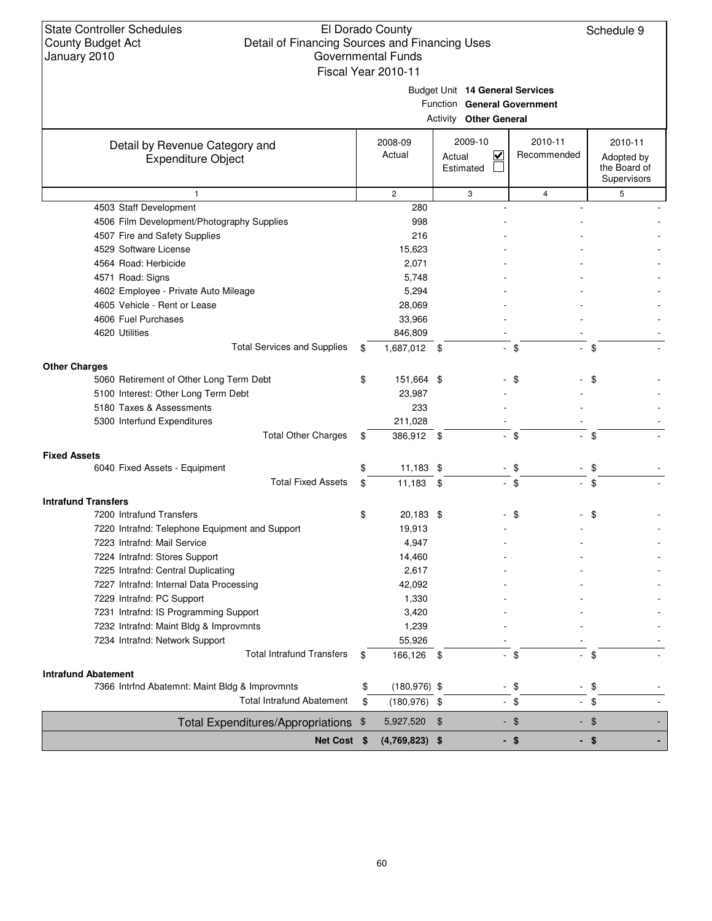| State Controller Schedules |  |
|----------------------------|--|
| County Budget Act          |  |
| January 2010               |  |

### El Dorado County Detail of Financing Sources and Financing Uses Governmental Funds Fiscal Year 2010-11

Schedule 9

| Budget Unit 14 General Services |
|---------------------------------|
|                                 |

Function **General Government**

|  | <b>Activity Other General</b> |  |
|--|-------------------------------|--|
|--|-------------------------------|--|

| Detail by Revenue Category and                                               | 2008-09               | 2009-10                          | 2010-11       | 2010-11      |
|------------------------------------------------------------------------------|-----------------------|----------------------------------|---------------|--------------|
| <b>Expenditure Object</b>                                                    | Actual                | $\checkmark$<br>Actual           | Recommended   | Adopted by   |
|                                                                              |                       | Estimated                        |               | the Board of |
|                                                                              |                       |                                  |               | Supervisors  |
| $\mathbf{1}$                                                                 | $\overline{c}$        | 3                                | 4             | 5            |
| 4503 Staff Development                                                       | 280                   |                                  |               |              |
| 4506 Film Development/Photography Supplies                                   | 998                   |                                  |               |              |
| 4507 Fire and Safety Supplies                                                | 216                   |                                  |               |              |
| 4529 Software License                                                        | 15,623                |                                  |               |              |
| 4564 Road: Herbicide                                                         | 2,071                 |                                  |               |              |
| 4571 Road: Signs                                                             | 5,748                 |                                  |               |              |
| 4602 Employee - Private Auto Mileage                                         | 5,294                 |                                  |               |              |
| 4605 Vehicle - Rent or Lease                                                 | 28,069                |                                  |               |              |
| 4606 Fuel Purchases                                                          | 33,966                |                                  |               |              |
| 4620 Utilities                                                               | 846,809               |                                  |               |              |
| <b>Total Services and Supplies</b>                                           | \$<br>1,687,012       | - \$<br>$\overline{\phantom{a}}$ | - \$          | $-$ \$       |
| <b>Other Charges</b>                                                         |                       |                                  |               |              |
| 5060 Retirement of Other Long Term Debt                                      | \$<br>151,664 \$      |                                  | S             | \$           |
| 5100 Interest: Other Long Term Debt                                          | 23,987                |                                  |               |              |
| 5180 Taxes & Assessments                                                     | 233                   |                                  |               |              |
| 5300 Interfund Expenditures                                                  | 211,028               |                                  |               |              |
| <b>Total Other Charges</b>                                                   | \$<br>386,912 \$      | ÷.                               | -\$<br>$\sim$ | \$           |
| <b>Fixed Assets</b>                                                          |                       |                                  |               |              |
| 6040 Fixed Assets - Equipment                                                | \$<br>$11,183$ \$     | ۰                                | \$            | \$           |
| <b>Total Fixed Assets</b>                                                    | \$<br>11,183          | \$                               | - \$          | \$           |
| <b>Intrafund Transfers</b>                                                   |                       |                                  |               |              |
| 7200 Intrafund Transfers                                                     | \$<br>20,183 \$       |                                  | \$            | \$           |
| 7220 Intrafnd: Telephone Equipment and Support                               | 19,913                |                                  |               |              |
| 7223 Intrafnd: Mail Service                                                  | 4,947                 |                                  |               |              |
| 7224 Intrafnd: Stores Support                                                | 14,460                |                                  |               |              |
| 7225 Intrafnd: Central Duplicating                                           | 2,617                 |                                  |               |              |
| 7227 Intrafnd: Internal Data Processing                                      | 42,092                |                                  |               |              |
| 7229 Intrafnd: PC Support                                                    | 1,330                 |                                  |               |              |
| 7231 Intrafnd: IS Programming Support                                        | 3,420                 |                                  |               |              |
| 7232 Intrafnd: Maint Bldg & Improvmnts                                       | 1,239                 |                                  |               |              |
| 7234 Intrafnd: Network Support                                               | 55,926                |                                  |               |              |
| <b>Total Intrafund Transfers</b>                                             | \$<br>166,126         | \$                               | $-$ \$        | $-$ \$       |
|                                                                              |                       |                                  |               |              |
| <b>Intrafund Abatement</b><br>7366 Intrfnd Abatemnt: Maint Bldg & Improvmnts | \$<br>$(180, 976)$ \$ |                                  | - \$          | $-$ \$       |
| <b>Total Intrafund Abatement</b>                                             | \$                    |                                  |               |              |
|                                                                              | $(180, 976)$ \$       |                                  | $-$ \$        | $-$ \$       |
| Total Expenditures/Appropriations \$                                         | 5,927,520             | $\frac{1}{2}$                    | $-$ \$        | $-$ \$       |
| Net Cost \$                                                                  | $(4,769,823)$ \$      |                                  | $-$ \$        | $-$ \$       |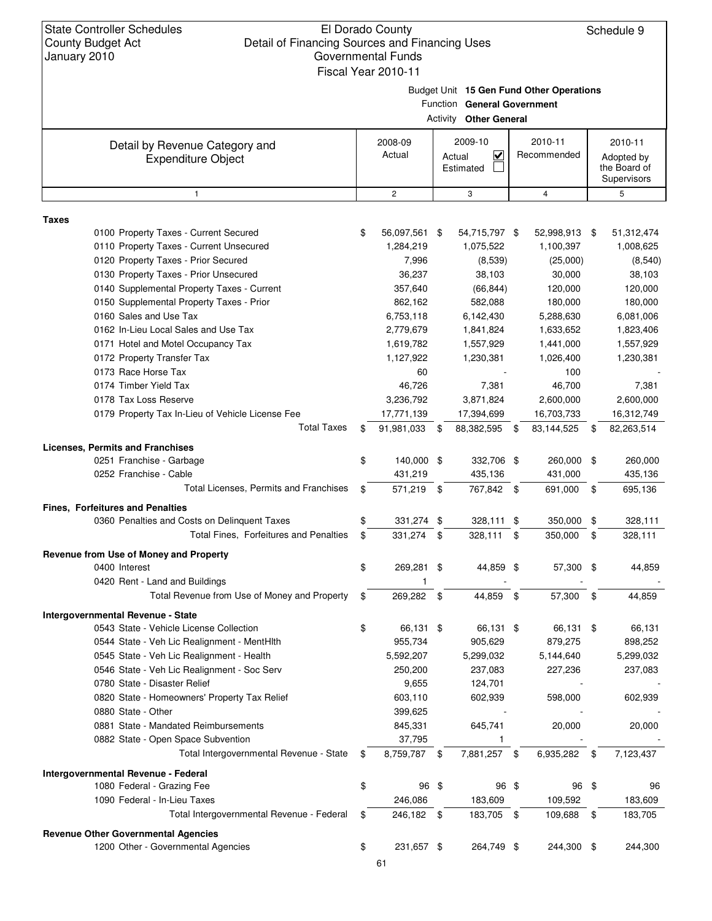### El Dorado County Detail of Financing Sources and Financing Uses Governmental Funds Fiscal Year 2010-11

Schedule 9

Budget Unit **15 Gen Fund Other Operations**

| Function General Government<br><b>Other General</b><br>Activity                        |    |                   |      |                                                           |    |                        |      |                                                      |  |
|----------------------------------------------------------------------------------------|----|-------------------|------|-----------------------------------------------------------|----|------------------------|------|------------------------------------------------------|--|
|                                                                                        |    |                   |      |                                                           |    |                        |      |                                                      |  |
| Detail by Revenue Category and<br><b>Expenditure Object</b>                            |    | 2008-09<br>Actual |      | 2009-10<br>$\overline{\mathsf{v}}$<br>Actual<br>Estimated |    | 2010-11<br>Recommended |      | 2010-11<br>Adopted by<br>the Board of<br>Supervisors |  |
| $\mathbf{1}$                                                                           |    | $\overline{c}$    |      | 3                                                         |    | 4                      |      | 5                                                    |  |
|                                                                                        |    |                   |      |                                                           |    |                        |      |                                                      |  |
| <b>Taxes</b><br>0100 Property Taxes - Current Secured                                  | \$ | 56,097,561 \$     |      | 54,715,797 \$                                             |    | 52,998,913 \$          |      | 51,312,474                                           |  |
| 0110 Property Taxes - Current Unsecured                                                |    | 1,284,219         |      | 1,075,522                                                 |    | 1,100,397              |      | 1,008,625                                            |  |
| 0120 Property Taxes - Prior Secured                                                    |    | 7,996             |      | (8,539)                                                   |    | (25,000)               |      | (8, 540)                                             |  |
| 0130 Property Taxes - Prior Unsecured                                                  |    | 36,237            |      | 38,103                                                    |    | 30,000                 |      | 38,103                                               |  |
| 0140 Supplemental Property Taxes - Current                                             |    | 357,640           |      | (66, 844)                                                 |    | 120,000                |      | 120,000                                              |  |
| 0150 Supplemental Property Taxes - Prior                                               |    | 862,162           |      | 582,088                                                   |    | 180,000                |      | 180,000                                              |  |
| 0160 Sales and Use Tax                                                                 |    | 6,753,118         |      | 6,142,430                                                 |    | 5,288,630              |      | 6,081,006                                            |  |
| 0162 In-Lieu Local Sales and Use Tax                                                   |    | 2,779,679         |      | 1,841,824                                                 |    | 1,633,652              |      | 1,823,406                                            |  |
| 0171 Hotel and Motel Occupancy Tax                                                     |    | 1,619,782         |      | 1,557,929                                                 |    | 1,441,000              |      | 1,557,929                                            |  |
| 0172 Property Transfer Tax                                                             |    | 1,127,922         |      | 1,230,381                                                 |    | 1,026,400              |      | 1,230,381                                            |  |
| 0173 Race Horse Tax                                                                    |    | 60                |      |                                                           |    | 100                    |      |                                                      |  |
| 0174 Timber Yield Tax                                                                  |    | 46,726            |      | 7,381                                                     |    | 46,700                 |      | 7,381                                                |  |
| 0178 Tax Loss Reserve                                                                  |    | 3,236,792         |      | 3,871,824                                                 |    | 2,600,000              |      | 2,600,000                                            |  |
| 0179 Property Tax In-Lieu of Vehicle License Fee                                       |    | 17,771,139        |      | 17,394,699                                                |    | 16,703,733             |      | 16,312,749                                           |  |
| <b>Total Taxes</b>                                                                     | \$ | 91,981,033        | \$   | 88,382,595                                                | \$ | 83,144,525             | \$   | 82,263,514                                           |  |
|                                                                                        |    |                   |      |                                                           |    |                        |      |                                                      |  |
| <b>Licenses, Permits and Franchises</b><br>0251 Franchise - Garbage                    | \$ | 140,000 \$        |      | 332,706 \$                                                |    | 260,000 \$             |      | 260,000                                              |  |
| 0252 Franchise - Cable                                                                 |    |                   |      |                                                           |    |                        |      |                                                      |  |
| Total Licenses, Permits and Franchises                                                 |    | 431,219           |      | 435,136                                                   |    | 431,000                |      | 435,136                                              |  |
|                                                                                        | \$ | 571,219 \$        |      | 767,842 \$                                                |    | 691,000                | \$   | 695,136                                              |  |
| Fines, Forfeitures and Penalties                                                       |    |                   |      |                                                           |    |                        |      |                                                      |  |
| 0360 Penalties and Costs on Delinquent Taxes<br>Total Fines, Forfeitures and Penalties | \$ | 331,274           | -\$  | 328,111                                                   | \$ | 350,000                | \$   | 328,111                                              |  |
|                                                                                        | \$ | 331,274           | - \$ | 328,111                                                   | \$ | 350,000                | \$   | 328,111                                              |  |
| Revenue from Use of Money and Property                                                 |    |                   |      |                                                           |    |                        |      |                                                      |  |
| 0400 Interest                                                                          | \$ | 269,281 \$        |      | 44,859 \$                                                 |    | 57,300 \$              |      | 44,859                                               |  |
| 0420 Rent - Land and Buildings                                                         |    | 1                 |      |                                                           |    |                        |      |                                                      |  |
| Total Revenue from Use of Money and Property                                           | \$ | 269,282           | \$   | 44,859                                                    | \$ | 57,300                 | \$   | 44,859                                               |  |
| Intergovernmental Revenue - State                                                      |    |                   |      |                                                           |    |                        |      |                                                      |  |
| 0543 State - Vehicle License Collection                                                | \$ | 66,131 \$         |      | 66,131 \$                                                 |    | 66,131 \$              |      | 66,131                                               |  |
| 0544 State - Veh Lic Realignment - MentHith                                            |    | 955,734           |      | 905,629                                                   |    | 879,275                |      | 898,252                                              |  |
| 0545 State - Veh Lic Realignment - Health                                              |    | 5,592,207         |      | 5,299,032                                                 |    | 5,144,640              |      | 5,299,032                                            |  |
| 0546 State - Veh Lic Realignment - Soc Serv                                            |    | 250,200           |      | 237,083                                                   |    | 227,236                |      | 237,083                                              |  |
| 0780 State - Disaster Relief                                                           |    | 9,655             |      | 124,701                                                   |    |                        |      |                                                      |  |
| 0820 State - Homeowners' Property Tax Relief                                           |    | 603,110           |      | 602,939                                                   |    | 598,000                |      | 602,939                                              |  |
| 0880 State - Other                                                                     |    | 399,625           |      |                                                           |    |                        |      |                                                      |  |
| 0881 State - Mandated Reimbursements                                                   |    | 845,331           |      | 645,741                                                   |    | 20,000                 |      | 20,000                                               |  |
| 0882 State - Open Space Subvention                                                     |    | 37,795            |      | 1                                                         |    |                        |      |                                                      |  |
| Total Intergovernmental Revenue - State                                                | \$ | 8,759,787 \$      |      | 7,881,257 \$                                              |    | 6,935,282              | - \$ | 7,123,437                                            |  |
| Intergovernmental Revenue - Federal                                                    |    |                   |      |                                                           |    |                        |      |                                                      |  |
| 1080 Federal - Grazing Fee                                                             | \$ | 96 \$             |      | 96 \$                                                     |    | 96 \$                  |      | 96                                                   |  |
| 1090 Federal - In-Lieu Taxes                                                           |    | 246,086           |      | 183,609                                                   |    | 109,592                |      | 183,609                                              |  |
| Total Intergovernmental Revenue - Federal                                              | \$ | 246,182 \$        |      | 183,705 \$                                                |    | 109,688                | \$   | 183,705                                              |  |
|                                                                                        |    |                   |      |                                                           |    |                        |      |                                                      |  |
| <b>Revenue Other Governmental Agencies</b><br>1200 Other - Governmental Agencies       | \$ | 231,657 \$        |      | 264,749 \$                                                |    | 244,300 \$             |      | 244,300                                              |  |
|                                                                                        |    |                   |      |                                                           |    |                        |      |                                                      |  |
|                                                                                        |    | 61                |      |                                                           |    |                        |      |                                                      |  |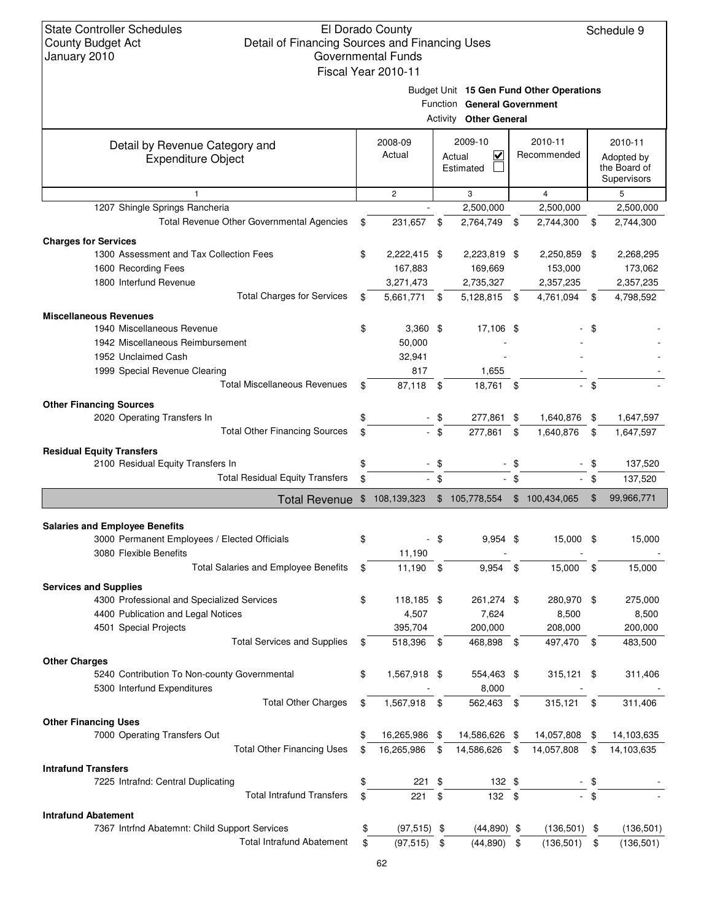### El Dorado County Detail of Financing Sources and Financing Uses Governmental Funds Fiscal Year 2010-11

Schedule 9

Function **General Government**

| 2009-10<br>2010-11<br>2008-09<br>Detail by Revenue Category and<br>Actual<br>⊽<br>Recommended<br>Actual<br><b>Expenditure Object</b><br>Estimated<br>$\overline{c}$<br>$\overline{4}$<br>3<br>5<br>$\mathbf{1}$<br>1207 Shingle Springs Rancheria<br>2,500,000<br>2,500,000<br><b>Total Revenue Other Governmental Agencies</b><br>231,657<br>\$<br>2,764,749<br>2,744,300<br>\$<br>\$<br>\$<br><b>Charges for Services</b><br>1300 Assessment and Tax Collection Fees<br>\$<br>2,222,415 \$<br>2,223,819 \$<br>2,250,859<br>-\$<br>1600 Recording Fees<br>167,883<br>169,669<br>153,000<br>1800 Interfund Revenue<br>3,271,473<br>2,735,327<br>2,357,235<br><b>Total Charges for Services</b><br>5,661,771 \$<br>4,761,094<br>\$<br>5,128,815 \$<br>\$<br><b>Miscellaneous Revenues</b><br>1940 Miscellaneous Revenue<br>\$<br>$3,360$ \$<br>17,106 \$<br>\$<br>1942 Miscellaneous Reimbursement<br>50,000<br>1952 Unclaimed Cash<br>32,941<br>1999 Special Revenue Clearing<br>817<br>1,655<br><b>Total Miscellaneous Revenues</b><br>87,118<br>18,761 \$<br>- \$<br>- \$<br>\$<br><b>Other Financing Sources</b><br>2020 Operating Transfers In<br>277,861 \$<br>\$<br>- \$<br>1,640,876 \$<br><b>Total Other Financing Sources</b><br>$-$ \$<br>277,861<br>\$<br>\$<br>1,640,876<br>\$<br><b>Residual Equity Transfers</b><br>2100 Residual Equity Transfers In<br>\$<br>- \$<br>- \$<br>\$<br><b>Total Residual Equity Transfers</b><br>\$<br>$-$ \$<br>- \$<br>- \$<br>137,520<br>\$105,778,554<br>\$<br>\$<br>108,139,323<br>\$100,434,065<br><b>Total Revenue</b><br><b>Salaries and Employee Benefits</b><br>3000 Permanent Employees / Elected Officials<br>- \$<br>$9,954$ \$<br>15,000 \$<br>\$<br>3080 Flexible Benefits<br>11,190<br>Total Salaries and Employee Benefits<br>11,190<br>9,954<br>\$<br>\$<br>\$<br>15,000<br>\$<br><b>Services and Supplies</b><br>4300 Professional and Specialized Services<br>\$<br>118,185 \$<br>261,274 \$<br>280,970 \$<br>7,624<br>8,500<br>4400 Publication and Legal Notices<br>4,507<br>395,704<br>200,000<br>208,000<br>4501 Special Projects<br><b>Total Services and Supplies</b><br>518,396 \$<br>468.898 \$<br>497,470 \$<br>S<br><b>Other Charges</b><br>5240 Contribution To Non-county Governmental<br>\$<br>1,567,918 \$<br>554,463 \$<br>$315,121$ \$<br>5300 Interfund Expenditures<br>8,000<br><b>Total Other Charges</b><br>562,463 \$<br>\$<br>1,567,918 \$<br>315,121<br>-\$<br><b>Other Financing Uses</b><br>7000 Operating Transfers Out<br>16,265,986 \$<br>14,586,626 \$<br>14,057,808 \$<br>\$<br><b>Total Other Financing Uses</b><br>16,265,986 \$<br>14,586,626<br>14,057,808<br>\$<br>\$<br>\$<br><b>Intrafund Transfers</b><br>7225 Intrafnd: Central Duplicating<br>\$<br>221<br>132 \$<br>\$<br><b>Total Intrafund Transfers</b><br>221<br>\$<br>132 \$<br>\$<br><b>Intrafund Abatement</b><br>7367 Intrfnd Abatemnt: Child Support Services<br>$(44,890)$ \$<br>$(136,501)$ \$<br>\$<br>$(97, 515)$ \$ |                                  |           | <b>Activity Other General</b> |            |                                                      |
|--------------------------------------------------------------------------------------------------------------------------------------------------------------------------------------------------------------------------------------------------------------------------------------------------------------------------------------------------------------------------------------------------------------------------------------------------------------------------------------------------------------------------------------------------------------------------------------------------------------------------------------------------------------------------------------------------------------------------------------------------------------------------------------------------------------------------------------------------------------------------------------------------------------------------------------------------------------------------------------------------------------------------------------------------------------------------------------------------------------------------------------------------------------------------------------------------------------------------------------------------------------------------------------------------------------------------------------------------------------------------------------------------------------------------------------------------------------------------------------------------------------------------------------------------------------------------------------------------------------------------------------------------------------------------------------------------------------------------------------------------------------------------------------------------------------------------------------------------------------------------------------------------------------------------------------------------------------------------------------------------------------------------------------------------------------------------------------------------------------------------------------------------------------------------------------------------------------------------------------------------------------------------------------------------------------------------------------------------------------------------------------------------------------------------------------------------------------------------------------------------------------------------------------------------------------------------------------------------------------------------------------------------------------------------------------------------------------------------------------------------------------------------------------------------------------------------------------------------------------------------------------------------------------------------------------------------------------------------------------------|----------------------------------|-----------|-------------------------------|------------|------------------------------------------------------|
|                                                                                                                                                                                                                                                                                                                                                                                                                                                                                                                                                                                                                                                                                                                                                                                                                                                                                                                                                                                                                                                                                                                                                                                                                                                                                                                                                                                                                                                                                                                                                                                                                                                                                                                                                                                                                                                                                                                                                                                                                                                                                                                                                                                                                                                                                                                                                                                                                                                                                                                                                                                                                                                                                                                                                                                                                                                                                                                                                                                            |                                  |           |                               |            | 2010-11<br>Adopted by<br>the Board of<br>Supervisors |
|                                                                                                                                                                                                                                                                                                                                                                                                                                                                                                                                                                                                                                                                                                                                                                                                                                                                                                                                                                                                                                                                                                                                                                                                                                                                                                                                                                                                                                                                                                                                                                                                                                                                                                                                                                                                                                                                                                                                                                                                                                                                                                                                                                                                                                                                                                                                                                                                                                                                                                                                                                                                                                                                                                                                                                                                                                                                                                                                                                                            |                                  |           |                               |            |                                                      |
|                                                                                                                                                                                                                                                                                                                                                                                                                                                                                                                                                                                                                                                                                                                                                                                                                                                                                                                                                                                                                                                                                                                                                                                                                                                                                                                                                                                                                                                                                                                                                                                                                                                                                                                                                                                                                                                                                                                                                                                                                                                                                                                                                                                                                                                                                                                                                                                                                                                                                                                                                                                                                                                                                                                                                                                                                                                                                                                                                                                            |                                  |           |                               |            | 2,500,000                                            |
|                                                                                                                                                                                                                                                                                                                                                                                                                                                                                                                                                                                                                                                                                                                                                                                                                                                                                                                                                                                                                                                                                                                                                                                                                                                                                                                                                                                                                                                                                                                                                                                                                                                                                                                                                                                                                                                                                                                                                                                                                                                                                                                                                                                                                                                                                                                                                                                                                                                                                                                                                                                                                                                                                                                                                                                                                                                                                                                                                                                            |                                  |           |                               |            | 2,744,300                                            |
|                                                                                                                                                                                                                                                                                                                                                                                                                                                                                                                                                                                                                                                                                                                                                                                                                                                                                                                                                                                                                                                                                                                                                                                                                                                                                                                                                                                                                                                                                                                                                                                                                                                                                                                                                                                                                                                                                                                                                                                                                                                                                                                                                                                                                                                                                                                                                                                                                                                                                                                                                                                                                                                                                                                                                                                                                                                                                                                                                                                            |                                  |           |                               |            |                                                      |
|                                                                                                                                                                                                                                                                                                                                                                                                                                                                                                                                                                                                                                                                                                                                                                                                                                                                                                                                                                                                                                                                                                                                                                                                                                                                                                                                                                                                                                                                                                                                                                                                                                                                                                                                                                                                                                                                                                                                                                                                                                                                                                                                                                                                                                                                                                                                                                                                                                                                                                                                                                                                                                                                                                                                                                                                                                                                                                                                                                                            |                                  |           |                               |            | 2,268,295                                            |
|                                                                                                                                                                                                                                                                                                                                                                                                                                                                                                                                                                                                                                                                                                                                                                                                                                                                                                                                                                                                                                                                                                                                                                                                                                                                                                                                                                                                                                                                                                                                                                                                                                                                                                                                                                                                                                                                                                                                                                                                                                                                                                                                                                                                                                                                                                                                                                                                                                                                                                                                                                                                                                                                                                                                                                                                                                                                                                                                                                                            |                                  |           |                               |            | 173,062                                              |
|                                                                                                                                                                                                                                                                                                                                                                                                                                                                                                                                                                                                                                                                                                                                                                                                                                                                                                                                                                                                                                                                                                                                                                                                                                                                                                                                                                                                                                                                                                                                                                                                                                                                                                                                                                                                                                                                                                                                                                                                                                                                                                                                                                                                                                                                                                                                                                                                                                                                                                                                                                                                                                                                                                                                                                                                                                                                                                                                                                                            |                                  |           |                               |            | 2,357,235                                            |
|                                                                                                                                                                                                                                                                                                                                                                                                                                                                                                                                                                                                                                                                                                                                                                                                                                                                                                                                                                                                                                                                                                                                                                                                                                                                                                                                                                                                                                                                                                                                                                                                                                                                                                                                                                                                                                                                                                                                                                                                                                                                                                                                                                                                                                                                                                                                                                                                                                                                                                                                                                                                                                                                                                                                                                                                                                                                                                                                                                                            |                                  |           |                               |            | 4,798,592                                            |
|                                                                                                                                                                                                                                                                                                                                                                                                                                                                                                                                                                                                                                                                                                                                                                                                                                                                                                                                                                                                                                                                                                                                                                                                                                                                                                                                                                                                                                                                                                                                                                                                                                                                                                                                                                                                                                                                                                                                                                                                                                                                                                                                                                                                                                                                                                                                                                                                                                                                                                                                                                                                                                                                                                                                                                                                                                                                                                                                                                                            |                                  |           |                               |            |                                                      |
|                                                                                                                                                                                                                                                                                                                                                                                                                                                                                                                                                                                                                                                                                                                                                                                                                                                                                                                                                                                                                                                                                                                                                                                                                                                                                                                                                                                                                                                                                                                                                                                                                                                                                                                                                                                                                                                                                                                                                                                                                                                                                                                                                                                                                                                                                                                                                                                                                                                                                                                                                                                                                                                                                                                                                                                                                                                                                                                                                                                            |                                  |           |                               |            |                                                      |
|                                                                                                                                                                                                                                                                                                                                                                                                                                                                                                                                                                                                                                                                                                                                                                                                                                                                                                                                                                                                                                                                                                                                                                                                                                                                                                                                                                                                                                                                                                                                                                                                                                                                                                                                                                                                                                                                                                                                                                                                                                                                                                                                                                                                                                                                                                                                                                                                                                                                                                                                                                                                                                                                                                                                                                                                                                                                                                                                                                                            |                                  |           |                               |            |                                                      |
|                                                                                                                                                                                                                                                                                                                                                                                                                                                                                                                                                                                                                                                                                                                                                                                                                                                                                                                                                                                                                                                                                                                                                                                                                                                                                                                                                                                                                                                                                                                                                                                                                                                                                                                                                                                                                                                                                                                                                                                                                                                                                                                                                                                                                                                                                                                                                                                                                                                                                                                                                                                                                                                                                                                                                                                                                                                                                                                                                                                            |                                  |           |                               |            |                                                      |
|                                                                                                                                                                                                                                                                                                                                                                                                                                                                                                                                                                                                                                                                                                                                                                                                                                                                                                                                                                                                                                                                                                                                                                                                                                                                                                                                                                                                                                                                                                                                                                                                                                                                                                                                                                                                                                                                                                                                                                                                                                                                                                                                                                                                                                                                                                                                                                                                                                                                                                                                                                                                                                                                                                                                                                                                                                                                                                                                                                                            |                                  |           |                               |            |                                                      |
|                                                                                                                                                                                                                                                                                                                                                                                                                                                                                                                                                                                                                                                                                                                                                                                                                                                                                                                                                                                                                                                                                                                                                                                                                                                                                                                                                                                                                                                                                                                                                                                                                                                                                                                                                                                                                                                                                                                                                                                                                                                                                                                                                                                                                                                                                                                                                                                                                                                                                                                                                                                                                                                                                                                                                                                                                                                                                                                                                                                            |                                  |           |                               |            |                                                      |
|                                                                                                                                                                                                                                                                                                                                                                                                                                                                                                                                                                                                                                                                                                                                                                                                                                                                                                                                                                                                                                                                                                                                                                                                                                                                                                                                                                                                                                                                                                                                                                                                                                                                                                                                                                                                                                                                                                                                                                                                                                                                                                                                                                                                                                                                                                                                                                                                                                                                                                                                                                                                                                                                                                                                                                                                                                                                                                                                                                                            |                                  |           |                               |            |                                                      |
|                                                                                                                                                                                                                                                                                                                                                                                                                                                                                                                                                                                                                                                                                                                                                                                                                                                                                                                                                                                                                                                                                                                                                                                                                                                                                                                                                                                                                                                                                                                                                                                                                                                                                                                                                                                                                                                                                                                                                                                                                                                                                                                                                                                                                                                                                                                                                                                                                                                                                                                                                                                                                                                                                                                                                                                                                                                                                                                                                                                            |                                  |           |                               |            | 1,647,597                                            |
|                                                                                                                                                                                                                                                                                                                                                                                                                                                                                                                                                                                                                                                                                                                                                                                                                                                                                                                                                                                                                                                                                                                                                                                                                                                                                                                                                                                                                                                                                                                                                                                                                                                                                                                                                                                                                                                                                                                                                                                                                                                                                                                                                                                                                                                                                                                                                                                                                                                                                                                                                                                                                                                                                                                                                                                                                                                                                                                                                                                            |                                  |           |                               |            | 1,647,597                                            |
|                                                                                                                                                                                                                                                                                                                                                                                                                                                                                                                                                                                                                                                                                                                                                                                                                                                                                                                                                                                                                                                                                                                                                                                                                                                                                                                                                                                                                                                                                                                                                                                                                                                                                                                                                                                                                                                                                                                                                                                                                                                                                                                                                                                                                                                                                                                                                                                                                                                                                                                                                                                                                                                                                                                                                                                                                                                                                                                                                                                            |                                  |           |                               |            |                                                      |
|                                                                                                                                                                                                                                                                                                                                                                                                                                                                                                                                                                                                                                                                                                                                                                                                                                                                                                                                                                                                                                                                                                                                                                                                                                                                                                                                                                                                                                                                                                                                                                                                                                                                                                                                                                                                                                                                                                                                                                                                                                                                                                                                                                                                                                                                                                                                                                                                                                                                                                                                                                                                                                                                                                                                                                                                                                                                                                                                                                                            |                                  |           |                               |            | 137,520                                              |
|                                                                                                                                                                                                                                                                                                                                                                                                                                                                                                                                                                                                                                                                                                                                                                                                                                                                                                                                                                                                                                                                                                                                                                                                                                                                                                                                                                                                                                                                                                                                                                                                                                                                                                                                                                                                                                                                                                                                                                                                                                                                                                                                                                                                                                                                                                                                                                                                                                                                                                                                                                                                                                                                                                                                                                                                                                                                                                                                                                                            |                                  |           |                               |            |                                                      |
|                                                                                                                                                                                                                                                                                                                                                                                                                                                                                                                                                                                                                                                                                                                                                                                                                                                                                                                                                                                                                                                                                                                                                                                                                                                                                                                                                                                                                                                                                                                                                                                                                                                                                                                                                                                                                                                                                                                                                                                                                                                                                                                                                                                                                                                                                                                                                                                                                                                                                                                                                                                                                                                                                                                                                                                                                                                                                                                                                                                            |                                  |           |                               |            | 99,966,771                                           |
|                                                                                                                                                                                                                                                                                                                                                                                                                                                                                                                                                                                                                                                                                                                                                                                                                                                                                                                                                                                                                                                                                                                                                                                                                                                                                                                                                                                                                                                                                                                                                                                                                                                                                                                                                                                                                                                                                                                                                                                                                                                                                                                                                                                                                                                                                                                                                                                                                                                                                                                                                                                                                                                                                                                                                                                                                                                                                                                                                                                            |                                  |           |                               |            |                                                      |
|                                                                                                                                                                                                                                                                                                                                                                                                                                                                                                                                                                                                                                                                                                                                                                                                                                                                                                                                                                                                                                                                                                                                                                                                                                                                                                                                                                                                                                                                                                                                                                                                                                                                                                                                                                                                                                                                                                                                                                                                                                                                                                                                                                                                                                                                                                                                                                                                                                                                                                                                                                                                                                                                                                                                                                                                                                                                                                                                                                                            |                                  |           |                               |            |                                                      |
|                                                                                                                                                                                                                                                                                                                                                                                                                                                                                                                                                                                                                                                                                                                                                                                                                                                                                                                                                                                                                                                                                                                                                                                                                                                                                                                                                                                                                                                                                                                                                                                                                                                                                                                                                                                                                                                                                                                                                                                                                                                                                                                                                                                                                                                                                                                                                                                                                                                                                                                                                                                                                                                                                                                                                                                                                                                                                                                                                                                            |                                  |           |                               |            | 15,000                                               |
|                                                                                                                                                                                                                                                                                                                                                                                                                                                                                                                                                                                                                                                                                                                                                                                                                                                                                                                                                                                                                                                                                                                                                                                                                                                                                                                                                                                                                                                                                                                                                                                                                                                                                                                                                                                                                                                                                                                                                                                                                                                                                                                                                                                                                                                                                                                                                                                                                                                                                                                                                                                                                                                                                                                                                                                                                                                                                                                                                                                            |                                  |           |                               |            |                                                      |
|                                                                                                                                                                                                                                                                                                                                                                                                                                                                                                                                                                                                                                                                                                                                                                                                                                                                                                                                                                                                                                                                                                                                                                                                                                                                                                                                                                                                                                                                                                                                                                                                                                                                                                                                                                                                                                                                                                                                                                                                                                                                                                                                                                                                                                                                                                                                                                                                                                                                                                                                                                                                                                                                                                                                                                                                                                                                                                                                                                                            |                                  |           |                               |            | 15,000                                               |
|                                                                                                                                                                                                                                                                                                                                                                                                                                                                                                                                                                                                                                                                                                                                                                                                                                                                                                                                                                                                                                                                                                                                                                                                                                                                                                                                                                                                                                                                                                                                                                                                                                                                                                                                                                                                                                                                                                                                                                                                                                                                                                                                                                                                                                                                                                                                                                                                                                                                                                                                                                                                                                                                                                                                                                                                                                                                                                                                                                                            |                                  |           |                               |            |                                                      |
|                                                                                                                                                                                                                                                                                                                                                                                                                                                                                                                                                                                                                                                                                                                                                                                                                                                                                                                                                                                                                                                                                                                                                                                                                                                                                                                                                                                                                                                                                                                                                                                                                                                                                                                                                                                                                                                                                                                                                                                                                                                                                                                                                                                                                                                                                                                                                                                                                                                                                                                                                                                                                                                                                                                                                                                                                                                                                                                                                                                            |                                  |           |                               |            | 275,000                                              |
|                                                                                                                                                                                                                                                                                                                                                                                                                                                                                                                                                                                                                                                                                                                                                                                                                                                                                                                                                                                                                                                                                                                                                                                                                                                                                                                                                                                                                                                                                                                                                                                                                                                                                                                                                                                                                                                                                                                                                                                                                                                                                                                                                                                                                                                                                                                                                                                                                                                                                                                                                                                                                                                                                                                                                                                                                                                                                                                                                                                            |                                  |           |                               |            | 8,500                                                |
|                                                                                                                                                                                                                                                                                                                                                                                                                                                                                                                                                                                                                                                                                                                                                                                                                                                                                                                                                                                                                                                                                                                                                                                                                                                                                                                                                                                                                                                                                                                                                                                                                                                                                                                                                                                                                                                                                                                                                                                                                                                                                                                                                                                                                                                                                                                                                                                                                                                                                                                                                                                                                                                                                                                                                                                                                                                                                                                                                                                            |                                  |           |                               |            | 200,000                                              |
|                                                                                                                                                                                                                                                                                                                                                                                                                                                                                                                                                                                                                                                                                                                                                                                                                                                                                                                                                                                                                                                                                                                                                                                                                                                                                                                                                                                                                                                                                                                                                                                                                                                                                                                                                                                                                                                                                                                                                                                                                                                                                                                                                                                                                                                                                                                                                                                                                                                                                                                                                                                                                                                                                                                                                                                                                                                                                                                                                                                            |                                  |           |                               |            | 483,500                                              |
|                                                                                                                                                                                                                                                                                                                                                                                                                                                                                                                                                                                                                                                                                                                                                                                                                                                                                                                                                                                                                                                                                                                                                                                                                                                                                                                                                                                                                                                                                                                                                                                                                                                                                                                                                                                                                                                                                                                                                                                                                                                                                                                                                                                                                                                                                                                                                                                                                                                                                                                                                                                                                                                                                                                                                                                                                                                                                                                                                                                            |                                  |           |                               |            |                                                      |
|                                                                                                                                                                                                                                                                                                                                                                                                                                                                                                                                                                                                                                                                                                                                                                                                                                                                                                                                                                                                                                                                                                                                                                                                                                                                                                                                                                                                                                                                                                                                                                                                                                                                                                                                                                                                                                                                                                                                                                                                                                                                                                                                                                                                                                                                                                                                                                                                                                                                                                                                                                                                                                                                                                                                                                                                                                                                                                                                                                                            |                                  |           |                               |            | 311,406                                              |
|                                                                                                                                                                                                                                                                                                                                                                                                                                                                                                                                                                                                                                                                                                                                                                                                                                                                                                                                                                                                                                                                                                                                                                                                                                                                                                                                                                                                                                                                                                                                                                                                                                                                                                                                                                                                                                                                                                                                                                                                                                                                                                                                                                                                                                                                                                                                                                                                                                                                                                                                                                                                                                                                                                                                                                                                                                                                                                                                                                                            |                                  |           |                               |            |                                                      |
|                                                                                                                                                                                                                                                                                                                                                                                                                                                                                                                                                                                                                                                                                                                                                                                                                                                                                                                                                                                                                                                                                                                                                                                                                                                                                                                                                                                                                                                                                                                                                                                                                                                                                                                                                                                                                                                                                                                                                                                                                                                                                                                                                                                                                                                                                                                                                                                                                                                                                                                                                                                                                                                                                                                                                                                                                                                                                                                                                                                            |                                  |           |                               |            | 311,406                                              |
|                                                                                                                                                                                                                                                                                                                                                                                                                                                                                                                                                                                                                                                                                                                                                                                                                                                                                                                                                                                                                                                                                                                                                                                                                                                                                                                                                                                                                                                                                                                                                                                                                                                                                                                                                                                                                                                                                                                                                                                                                                                                                                                                                                                                                                                                                                                                                                                                                                                                                                                                                                                                                                                                                                                                                                                                                                                                                                                                                                                            |                                  |           |                               |            |                                                      |
|                                                                                                                                                                                                                                                                                                                                                                                                                                                                                                                                                                                                                                                                                                                                                                                                                                                                                                                                                                                                                                                                                                                                                                                                                                                                                                                                                                                                                                                                                                                                                                                                                                                                                                                                                                                                                                                                                                                                                                                                                                                                                                                                                                                                                                                                                                                                                                                                                                                                                                                                                                                                                                                                                                                                                                                                                                                                                                                                                                                            |                                  |           |                               |            |                                                      |
|                                                                                                                                                                                                                                                                                                                                                                                                                                                                                                                                                                                                                                                                                                                                                                                                                                                                                                                                                                                                                                                                                                                                                                                                                                                                                                                                                                                                                                                                                                                                                                                                                                                                                                                                                                                                                                                                                                                                                                                                                                                                                                                                                                                                                                                                                                                                                                                                                                                                                                                                                                                                                                                                                                                                                                                                                                                                                                                                                                                            |                                  |           |                               |            | 14,103,635                                           |
|                                                                                                                                                                                                                                                                                                                                                                                                                                                                                                                                                                                                                                                                                                                                                                                                                                                                                                                                                                                                                                                                                                                                                                                                                                                                                                                                                                                                                                                                                                                                                                                                                                                                                                                                                                                                                                                                                                                                                                                                                                                                                                                                                                                                                                                                                                                                                                                                                                                                                                                                                                                                                                                                                                                                                                                                                                                                                                                                                                                            |                                  |           |                               |            | 14,103,635                                           |
|                                                                                                                                                                                                                                                                                                                                                                                                                                                                                                                                                                                                                                                                                                                                                                                                                                                                                                                                                                                                                                                                                                                                                                                                                                                                                                                                                                                                                                                                                                                                                                                                                                                                                                                                                                                                                                                                                                                                                                                                                                                                                                                                                                                                                                                                                                                                                                                                                                                                                                                                                                                                                                                                                                                                                                                                                                                                                                                                                                                            |                                  |           |                               |            |                                                      |
|                                                                                                                                                                                                                                                                                                                                                                                                                                                                                                                                                                                                                                                                                                                                                                                                                                                                                                                                                                                                                                                                                                                                                                                                                                                                                                                                                                                                                                                                                                                                                                                                                                                                                                                                                                                                                                                                                                                                                                                                                                                                                                                                                                                                                                                                                                                                                                                                                                                                                                                                                                                                                                                                                                                                                                                                                                                                                                                                                                                            |                                  |           |                               |            |                                                      |
|                                                                                                                                                                                                                                                                                                                                                                                                                                                                                                                                                                                                                                                                                                                                                                                                                                                                                                                                                                                                                                                                                                                                                                                                                                                                                                                                                                                                                                                                                                                                                                                                                                                                                                                                                                                                                                                                                                                                                                                                                                                                                                                                                                                                                                                                                                                                                                                                                                                                                                                                                                                                                                                                                                                                                                                                                                                                                                                                                                                            |                                  |           |                               |            |                                                      |
|                                                                                                                                                                                                                                                                                                                                                                                                                                                                                                                                                                                                                                                                                                                                                                                                                                                                                                                                                                                                                                                                                                                                                                                                                                                                                                                                                                                                                                                                                                                                                                                                                                                                                                                                                                                                                                                                                                                                                                                                                                                                                                                                                                                                                                                                                                                                                                                                                                                                                                                                                                                                                                                                                                                                                                                                                                                                                                                                                                                            |                                  |           |                               |            |                                                      |
|                                                                                                                                                                                                                                                                                                                                                                                                                                                                                                                                                                                                                                                                                                                                                                                                                                                                                                                                                                                                                                                                                                                                                                                                                                                                                                                                                                                                                                                                                                                                                                                                                                                                                                                                                                                                                                                                                                                                                                                                                                                                                                                                                                                                                                                                                                                                                                                                                                                                                                                                                                                                                                                                                                                                                                                                                                                                                                                                                                                            |                                  |           |                               |            | (136, 501)                                           |
| $(44,890)$ \$<br>\$<br>\$<br>\$                                                                                                                                                                                                                                                                                                                                                                                                                                                                                                                                                                                                                                                                                                                                                                                                                                                                                                                                                                                                                                                                                                                                                                                                                                                                                                                                                                                                                                                                                                                                                                                                                                                                                                                                                                                                                                                                                                                                                                                                                                                                                                                                                                                                                                                                                                                                                                                                                                                                                                                                                                                                                                                                                                                                                                                                                                                                                                                                                            | <b>Total Intrafund Abatement</b> | (97, 515) |                               | (136, 501) | (136, 501)                                           |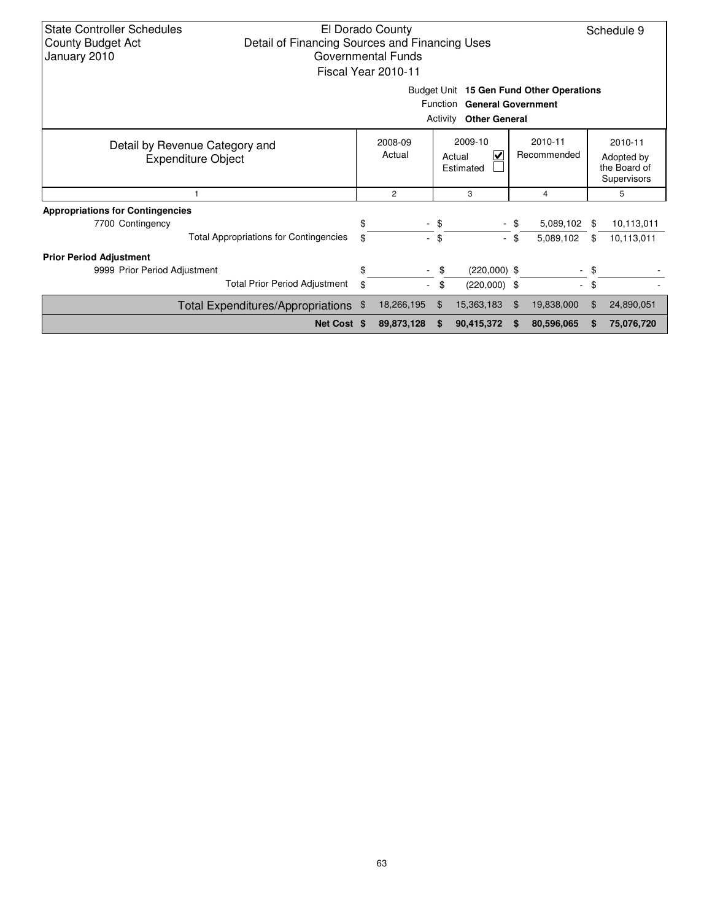| <b>State Controller Schedules</b><br>El Dorado County<br>Detail of Financing Sources and Financing Uses<br><b>County Budget Act</b><br>January 2010<br>Governmental Funds<br>Fiscal Year 2010-11 |                                               |    |                   |          |                                     |    |                        |    | Schedule 9                                           |
|--------------------------------------------------------------------------------------------------------------------------------------------------------------------------------------------------|-----------------------------------------------|----|-------------------|----------|-------------------------------------|----|------------------------|----|------------------------------------------------------|
| Budget Unit 15 Gen Fund Other Operations<br><b>General Government</b><br><b>Function</b>                                                                                                         |                                               |    |                   |          |                                     |    |                        |    |                                                      |
|                                                                                                                                                                                                  |                                               |    |                   | Activity | <b>Other General</b>                |    |                        |    |                                                      |
| Detail by Revenue Category and<br><b>Expenditure Object</b>                                                                                                                                      |                                               |    | 2008-09<br>Actual |          | 2009-10<br>V<br>Actual<br>Estimated |    | 2010-11<br>Recommended |    | 2010-11<br>Adopted by<br>the Board of<br>Supervisors |
|                                                                                                                                                                                                  | 3<br>$\overline{2}$<br>4                      |    |                   |          |                                     | 5  |                        |    |                                                      |
| <b>Appropriations for Contingencies</b>                                                                                                                                                          |                                               |    |                   |          |                                     |    |                        |    |                                                      |
| 7700 Contingency                                                                                                                                                                                 |                                               | \$ | $\sim$            | -\$      |                                     |    | 5,089,102              | \$ | 10,113,011                                           |
|                                                                                                                                                                                                  | <b>Total Appropriations for Contingencies</b> | \$ | $\sim$            | \$       | ÷.                                  | \$ | 5,089,102              | \$ | 10,113,011                                           |
| <b>Prior Period Adjustment</b>                                                                                                                                                                   |                                               |    |                   |          |                                     |    |                        |    |                                                      |
| 9999 Prior Period Adjustment                                                                                                                                                                     |                                               | \$ | ۰                 | \$       | $(220,000)$ \$                      |    | $\sim$                 | \$ |                                                      |
|                                                                                                                                                                                                  | <b>Total Prior Period Adjustment</b>          | \$ | $\sim$            | \$       | $(220,000)$ \$                      |    | $\sim$                 | \$ |                                                      |
|                                                                                                                                                                                                  | Total Expenditures/Appropriations \$          |    | 18,266,195        | \$       | 15,363,183                          | \$ | 19,838,000             | \$ | 24,890,051                                           |
|                                                                                                                                                                                                  | Net Cost \$                                   |    | 89,873,128        | \$.      | 90,415,372                          | -S | 80,596,065             | S  | 75,076,720                                           |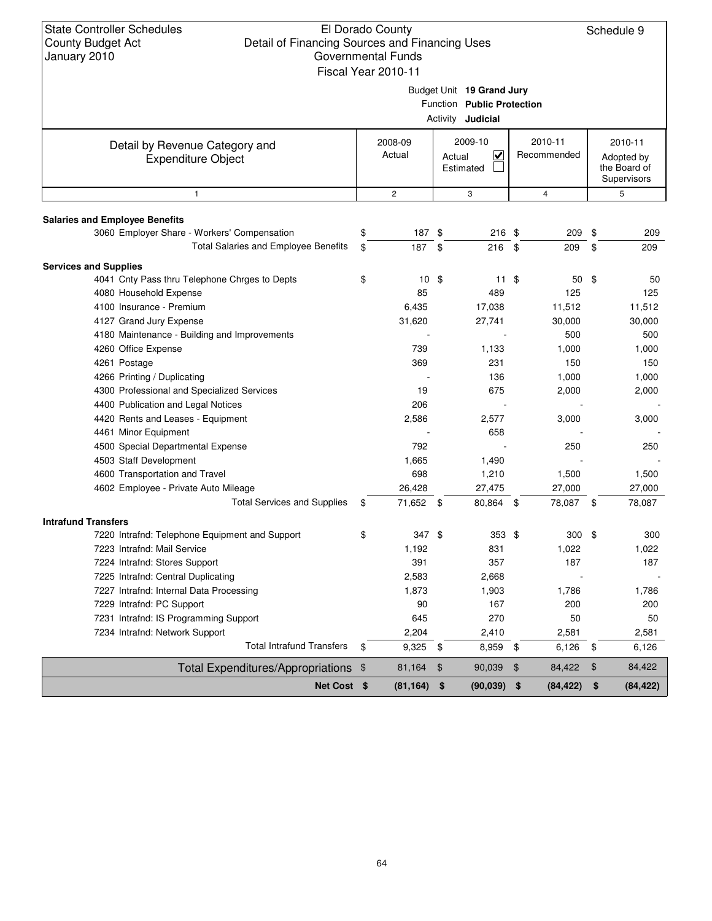# El Dorado County Detail of Financing Sources and Financing Uses Governmental Funds

Schedule 9

|                                                             |                                                                                     | Fiscal Year 2010-11 |                                              |    |                        |                       |                             |  |  |  |
|-------------------------------------------------------------|-------------------------------------------------------------------------------------|---------------------|----------------------------------------------|----|------------------------|-----------------------|-----------------------------|--|--|--|
|                                                             | Budget Unit 19 Grand Jury<br>Function Public Protection<br>Activity <b>Judicial</b> |                     |                                              |    |                        |                       |                             |  |  |  |
| Detail by Revenue Category and<br><b>Expenditure Object</b> |                                                                                     | 2008-09<br>Actual   | 2009-10<br>$\overline{\mathbf{v}}$<br>Actual |    | 2010-11<br>Recommended | 2010-11<br>Adopted by |                             |  |  |  |
|                                                             |                                                                                     |                     | Estimated                                    |    |                        |                       | the Board of<br>Supervisors |  |  |  |
| $\mathbf{1}$                                                |                                                                                     | $\overline{c}$      | 3                                            |    | 4                      |                       | 5                           |  |  |  |
| <b>Salaries and Employee Benefits</b>                       |                                                                                     |                     |                                              |    |                        |                       |                             |  |  |  |
| 3060 Employer Share - Workers' Compensation                 | \$                                                                                  | 187 \$              | 216 \$                                       |    | 209                    | \$                    | 209                         |  |  |  |
| Total Salaries and Employee Benefits                        | \$                                                                                  | 187                 | \$<br>216                                    | \$ | 209                    | \$                    | 209                         |  |  |  |
| <b>Services and Supplies</b>                                |                                                                                     |                     |                                              |    |                        |                       |                             |  |  |  |
| 4041 Cnty Pass thru Telephone Chrges to Depts               | \$                                                                                  | $10 \text{ } $$     | $11 \text{ } $$                              |    | 50                     | - \$                  | 50                          |  |  |  |
| 4080 Household Expense                                      |                                                                                     | 85                  | 489                                          |    | 125                    |                       | 125                         |  |  |  |
| 4100 Insurance - Premium                                    |                                                                                     | 6,435               | 17,038                                       |    | 11,512                 |                       | 11,512                      |  |  |  |
| 4127 Grand Jury Expense                                     |                                                                                     | 31,620              | 27,741                                       |    | 30,000                 |                       | 30,000                      |  |  |  |
| 4180 Maintenance - Building and Improvements                |                                                                                     |                     |                                              |    | 500                    |                       | 500                         |  |  |  |
| 4260 Office Expense                                         |                                                                                     | 739                 | 1,133                                        |    | 1,000                  |                       | 1,000                       |  |  |  |
| 4261 Postage                                                |                                                                                     | 369                 | 231                                          |    | 150                    |                       | 150                         |  |  |  |
| 4266 Printing / Duplicating                                 |                                                                                     |                     | 136                                          |    | 1,000                  |                       | 1,000                       |  |  |  |
| 4300 Professional and Specialized Services                  |                                                                                     | 19                  | 675                                          |    | 2,000                  |                       | 2,000                       |  |  |  |
| 4400 Publication and Legal Notices                          |                                                                                     | 206                 |                                              |    |                        |                       |                             |  |  |  |
| 4420 Rents and Leases - Equipment                           |                                                                                     | 2,586               | 2,577                                        |    | 3,000                  |                       | 3,000                       |  |  |  |
| 4461 Minor Equipment                                        |                                                                                     |                     | 658                                          |    |                        |                       |                             |  |  |  |
| 4500 Special Departmental Expense                           |                                                                                     | 792                 |                                              |    | 250                    |                       | 250                         |  |  |  |
| 4503 Staff Development                                      |                                                                                     | 1,665               | 1,490                                        |    |                        |                       |                             |  |  |  |
| 4600 Transportation and Travel                              |                                                                                     | 698                 | 1,210                                        |    | 1,500                  |                       | 1,500                       |  |  |  |
| 4602 Employee - Private Auto Mileage                        |                                                                                     | 26,428              | 27,475                                       |    | 27,000                 |                       | 27,000                      |  |  |  |
| <b>Total Services and Supplies</b>                          | \$                                                                                  | 71,652 \$           | 80,864 \$                                    |    | 78,087 \$              |                       | 78,087                      |  |  |  |
| <b>Intrafund Transfers</b>                                  |                                                                                     |                     |                                              |    |                        |                       |                             |  |  |  |
| 7220 Intrafnd: Telephone Equipment and Support              | \$                                                                                  | 347 \$              | $353$ \$                                     |    | $300*$                 |                       | 300                         |  |  |  |
| 7223 Intrafnd: Mail Service                                 |                                                                                     | 1,192               | 831                                          |    | 1,022                  |                       | 1,022                       |  |  |  |
| 7224 Intrafnd: Stores Support                               |                                                                                     | 391                 | 357                                          |    | 187                    |                       | 187                         |  |  |  |
| 7225 Intrafnd: Central Duplicating                          |                                                                                     | 2,583               | 2,668                                        |    |                        |                       |                             |  |  |  |
| 7227 Intrafnd: Internal Data Processing                     |                                                                                     | 1,873               | 1,903                                        |    | 1,786                  |                       | 1,786                       |  |  |  |
| 7229 Intrafnd: PC Support                                   |                                                                                     | 90                  | 167                                          |    | 200                    |                       | 200                         |  |  |  |
| 7231 Intrafnd: IS Programming Support                       |                                                                                     | 645                 | 270                                          |    | 50                     |                       | 50                          |  |  |  |
| 7234 Intrafnd: Network Support                              |                                                                                     | 2,204               | 2,410                                        |    | 2,581                  |                       | 2,581                       |  |  |  |
| <b>Total Intrafund Transfers</b>                            | \$                                                                                  | 9,325 \$            | 8,959 \$                                     |    | 6,126                  | \$                    | 6,126                       |  |  |  |
| Total Expenditures/Appropriations \$                        |                                                                                     | 81,164              | 90,039<br>$\frac{1}{2}$                      | \$ | 84,422                 | $\,$                  | 84,422                      |  |  |  |
| Net Cost \$                                                 |                                                                                     | (81, 164)           | \$<br>$(90,039)$ \$                          |    | (84, 422)              | \$                    | (84, 422)                   |  |  |  |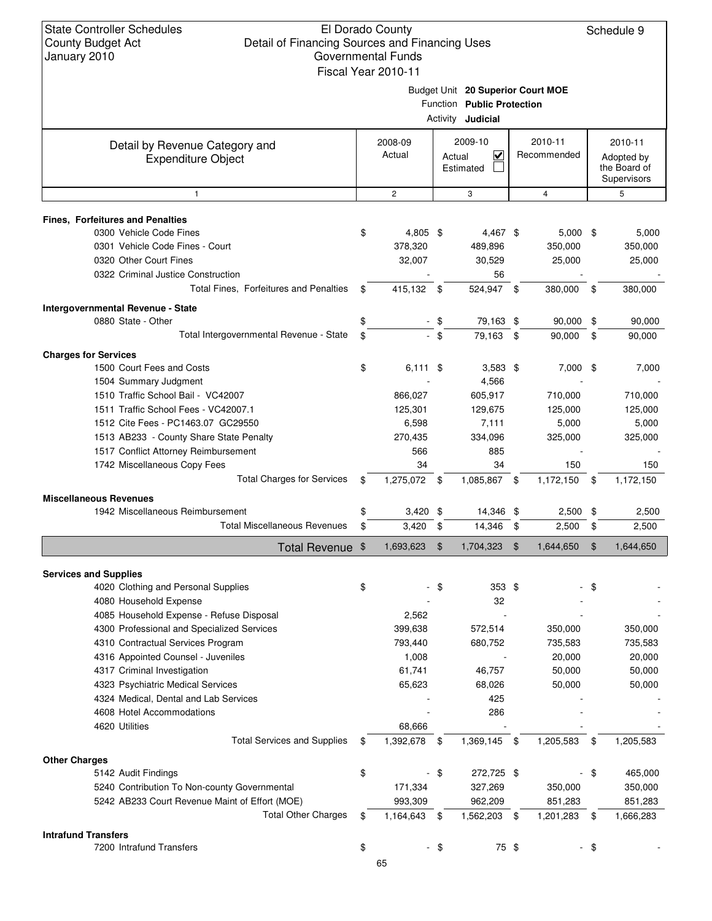# El Dorado County Detail of Financing Sources and Financing Uses Governmental Funds

| 0 an 1 au 1 y 1 au 1 0                         |                               | Fiscal Year 2010-11 |                |                                                |            |             |                |                            |
|------------------------------------------------|-------------------------------|---------------------|----------------|------------------------------------------------|------------|-------------|----------------|----------------------------|
|                                                |                               |                     |                | Budget Unit 20 Superior Court MOE              |            |             |                |                            |
|                                                |                               |                     |                | Function Public Protection                     |            |             |                |                            |
|                                                |                               |                     |                | Activity <b>Judicial</b>                       |            |             |                |                            |
| Detail by Revenue Category and                 | 2010-11<br>2008-09<br>2009-10 |                     | 2010-11        |                                                |            |             |                |                            |
| <b>Expenditure Object</b>                      |                               | Actual              |                | $\overline{\mathbf{v}}$<br>Actual<br>Estimated |            | Recommended |                | Adopted by<br>the Board of |
|                                                |                               |                     |                |                                                |            |             |                | Supervisors                |
| $\mathbf{1}$                                   |                               | $\overline{c}$      |                | 3                                              |            | 4           |                | 5                          |
| <b>Fines, Forfeitures and Penalties</b>        |                               |                     |                |                                                |            |             |                |                            |
| 0300 Vehicle Code Fines                        | \$                            | 4,805 \$            |                | 4,467 \$                                       |            | $5,000$ \$  |                | 5,000                      |
| 0301 Vehicle Code Fines - Court                |                               | 378,320             |                | 489,896                                        |            | 350,000     |                | 350,000                    |
| 0320 Other Court Fines                         |                               | 32,007              |                | 30,529                                         |            | 25,000      |                | 25,000                     |
| 0322 Criminal Justice Construction             |                               |                     |                | 56                                             |            |             |                |                            |
| Total Fines, Forfeitures and Penalties         | \$                            | 415,132 \$          |                | 524,947 \$                                     |            | 380,000 \$  |                | 380,000                    |
| Intergovernmental Revenue - State              |                               |                     |                |                                                |            |             |                |                            |
| 0880 State - Other                             | \$                            |                     | - \$           | 79,163 \$                                      |            | $90,000$ \$ |                | 90,000                     |
| Total Intergovernmental Revenue - State        | \$                            |                     | $-$ \$         | 79,163                                         | \$         | 90,000      | \$             | 90,000                     |
| <b>Charges for Services</b>                    |                               |                     |                |                                                |            |             |                |                            |
| 1500 Court Fees and Costs                      | \$                            | $6,111$ \$          |                | $3,583$ \$                                     |            | $7,000$ \$  |                | 7,000                      |
| 1504 Summary Judgment                          |                               |                     |                | 4,566                                          |            |             |                |                            |
| 1510 Traffic School Bail - VC42007             |                               | 866,027             |                | 605,917                                        |            | 710,000     |                | 710,000                    |
| 1511 Traffic School Fees - VC42007.1           |                               | 125,301             |                | 129,675                                        |            | 125,000     |                | 125,000                    |
| 1512 Cite Fees - PC1463.07 GC29550             |                               | 6,598               |                | 7,111                                          |            | 5,000       |                | 5,000                      |
| 1513 AB233 - County Share State Penalty        |                               | 270,435             |                | 334,096                                        |            | 325,000     |                | 325,000                    |
| 1517 Conflict Attorney Reimbursement           |                               | 566                 |                | 885                                            |            |             |                |                            |
| 1742 Miscellaneous Copy Fees                   |                               | 34                  |                | 34                                             |            | 150         |                | 150                        |
| <b>Total Charges for Services</b>              | \$                            | 1,275,072 \$        |                | 1,085,867 \$                                   |            | 1,172,150   | - \$           | 1,172,150                  |
| <b>Miscellaneous Revenues</b>                  |                               |                     |                |                                                |            |             |                |                            |
| 1942 Miscellaneous Reimbursement               | \$                            | $3,420$ \$          |                | 14,346 \$                                      |            | $2,500$ \$  |                | 2,500                      |
| <b>Total Miscellaneous Revenues</b>            | \$                            | $3,420$ \$          |                | 14,346 \$                                      |            | 2,500       | \$             | 2,500                      |
| Total Revenue \$                               |                               | 1,693,623           | $\mathfrak{F}$ | 1,704,323                                      | $\sqrt{3}$ | 1,644,650   | $\mathfrak{F}$ | 1,644,650                  |
| <b>Services and Supplies</b>                   |                               |                     |                |                                                |            |             |                |                            |
| 4020 Clothing and Personal Supplies            | \$                            |                     | \$             | $353$ \$                                       |            |             | \$             |                            |
| 4080 Household Expense                         |                               |                     |                | 32                                             |            |             |                |                            |
| 4085 Household Expense - Refuse Disposal       |                               | 2,562               |                |                                                |            |             |                |                            |
| 4300 Professional and Specialized Services     |                               | 399,638             |                | 572,514                                        |            | 350,000     |                | 350,000                    |
| 4310 Contractual Services Program              |                               | 793,440             |                | 680,752                                        |            | 735,583     |                | 735,583                    |
| 4316 Appointed Counsel - Juveniles             |                               | 1,008               |                |                                                |            | 20,000      |                | 20,000                     |
| 4317 Criminal Investigation                    |                               | 61,741              |                | 46,757                                         |            | 50,000      |                | 50,000                     |
| 4323 Psychiatric Medical Services              |                               | 65,623              |                | 68,026                                         |            | 50,000      |                | 50,000                     |
| 4324 Medical, Dental and Lab Services          |                               |                     |                | 425                                            |            |             |                |                            |
| 4608 Hotel Accommodations                      |                               |                     |                | 286                                            |            |             |                |                            |
| 4620 Utilities                                 |                               | 68,666              |                |                                                |            |             |                |                            |
| <b>Total Services and Supplies</b>             | \$                            | 1,392,678           | \$             | 1,369,145                                      | -\$        | 1,205,583   | \$             | 1,205,583                  |
| <b>Other Charges</b>                           |                               |                     |                |                                                |            |             |                |                            |
| 5142 Audit Findings                            | \$                            |                     | $-$ \$         | 272,725 \$                                     |            |             | \$             | 465,000                    |
| 5240 Contribution To Non-county Governmental   |                               | 171,334             |                | 327,269                                        |            | 350,000     |                | 350,000                    |
| 5242 AB233 Court Revenue Maint of Effort (MOE) |                               | 993,309             |                | 962,209                                        |            | 851,283     |                | 851,283                    |
| <b>Total Other Charges</b>                     | \$                            | 1,164,643           | \$             | 1,562,203 \$                                   |            | 1,201,283   | \$             | 1,666,283                  |
| <b>Intrafund Transfers</b>                     |                               |                     |                |                                                |            |             |                |                            |
| 7200 Intrafund Transfers                       | \$                            |                     | $-$ \$         | 75 \$                                          |            |             | $\sqrt{3}$     |                            |
|                                                |                               |                     |                |                                                |            |             |                |                            |